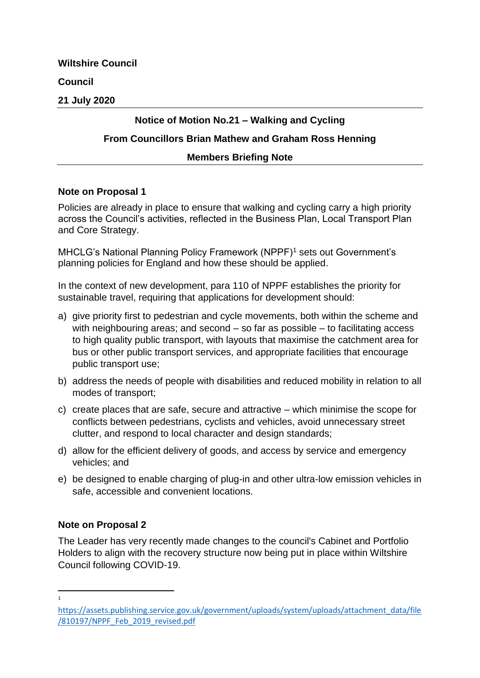**Wiltshire Council**

# **Council**

**21 July 2020**

# **Notice of Motion No.21 – Walking and Cycling**

# **From Councillors Brian Mathew and Graham Ross Henning**

### **Members Briefing Note**

#### **Note on Proposal 1**

Policies are already in place to ensure that walking and cycling carry a high priority across the Council's activities, reflected in the Business Plan, Local Transport Plan and Core Strategy.

MHCLG's National Planning Policy Framework (NPPF)<sup>1</sup> sets out Government's planning policies for England and how these should be applied.

In the context of new development, para 110 of NPPF establishes the priority for sustainable travel, requiring that applications for development should:

- a) give priority first to pedestrian and cycle movements, both within the scheme and with neighbouring areas; and second – so far as possible – to facilitating access to high quality public transport, with layouts that maximise the catchment area for bus or other public transport services, and appropriate facilities that encourage public transport use;
- b) address the needs of people with disabilities and reduced mobility in relation to all modes of transport;
- c) create places that are safe, secure and attractive which minimise the scope for conflicts between pedestrians, cyclists and vehicles, avoid unnecessary street clutter, and respond to local character and design standards;
- d) allow for the efficient delivery of goods, and access by service and emergency vehicles; and
- e) be designed to enable charging of plug-in and other ultra-low emission vehicles in safe, accessible and convenient locations.

### **Note on Proposal 2**

The Leader has very recently made changes to the council's Cabinet and Portfolio Holders to align with the recovery structure now being put in place within Wiltshire Council following COVID-19.

**.** 1

[https://assets.publishing.service.gov.uk/government/uploads/system/uploads/attachment\\_data/file](https://assets.publishing.service.gov.uk/government/uploads/system/uploads/attachment_data/file/810197/NPPF_Feb_2019_revised.pdf) [/810197/NPPF\\_Feb\\_2019\\_revised.pdf](https://assets.publishing.service.gov.uk/government/uploads/system/uploads/attachment_data/file/810197/NPPF_Feb_2019_revised.pdf)